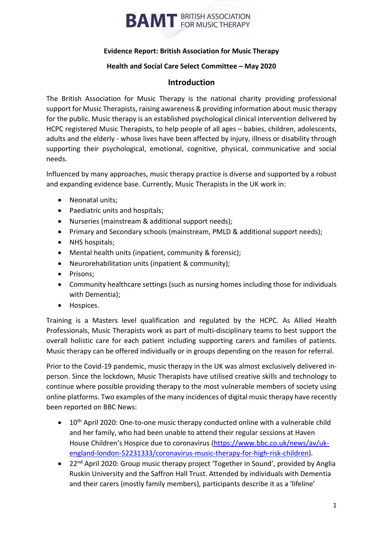

#### **Evidence Report: British Association for Music Therapy**

#### **Health and Social Care Select Committee – May 2020**

#### **Introduction**

The British Association for Music Therapy is the national charity providing professional support for Music Therapists, raising awareness & providing information about music therapy for the public. Music therapy is an established psychological clinical intervention delivered by HCPC registered Music Therapists, to help people of all ages – babies, children, adolescents, adults and the elderly - whose lives have been affected by injury, illness or disability through supporting their psychological, emotional, cognitive, physical, communicative and social needs.

Influenced by many approaches, music therapy practice is diverse and supported by a robust and expanding evidence base. Currently, Music Therapists in the UK work in:

- Neonatal units;
- Paediatric units and hospitals;
- Nurseries (mainstream & additional support needs);
- Primary and Secondary schools (mainstream, PMLD & additional support needs);
- NHS hospitals;
- Mental health units (inpatient, community & forensic);
- Neurorehabilitation units (inpatient & community);
- Prisons:
- Community healthcare settings (such as nursing homes including those for individuals with Dementia);
- Hospices.

Training is a Masters level qualification and regulated by the HCPC. As Allied Health Professionals, Music Therapists work as part of multi-disciplinary teams to best support the overall holistic care for each patient including supporting carers and families of patients. Music therapy can be offered individually or in groups depending on the reason for referral.

Prior to the Covid-19 pandemic, music therapy in the UK was almost exclusively delivered inperson. Since the lockdown, Music Therapists have utilised creative skills and technology to continue where possible providing therapy to the most vulnerable members of society using online platforms. Two examples of the many incidences of digital music therapy have recently been reported on BBC News:

- 10<sup>th</sup> April 2020: One-to-one music therapy conducted online with a vulnerable child and her family, who had been unable to attend their regular sessions at Haven House Children's Hospice due to coronavirus [\(https://www.bbc.co.uk/news/av/uk](https://www.bbc.co.uk/news/av/uk-england-london-52231333/coronavirus-music-therapy-for-high-risk-children)[england-london-52231333/coronavirus-music-therapy-for-high-risk-children\)](https://www.bbc.co.uk/news/av/uk-england-london-52231333/coronavirus-music-therapy-for-high-risk-children).
- 22<sup>nd</sup> April 2020: Group music therapy project 'Together in Sound', provided by Anglia Ruskin University and the Saffron Hall Trust. Attended by individuals with Dementia and their carers (mostly family members), participants describe it as a 'lifeline'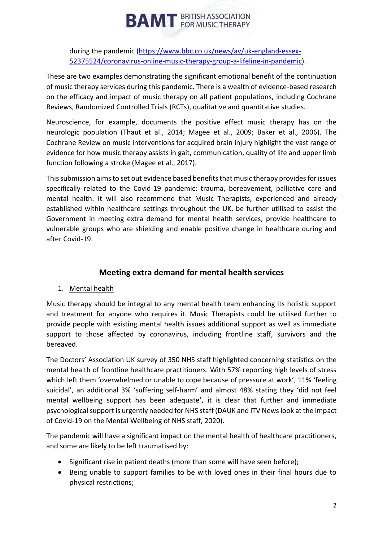during the pandemic [\(https://www.bbc.co.uk/news/av/uk-england-essex-](https://www.bbc.co.uk/news/av/uk-england-essex-52375524/coronavirus-online-music-therapy-group-a-lifeline-in-pandemic)[52375524/coronavirus-online-music-therapy-group-a-lifeline-in-pandemic\)](https://www.bbc.co.uk/news/av/uk-england-essex-52375524/coronavirus-online-music-therapy-group-a-lifeline-in-pandemic).

These are two examples demonstrating the significant emotional benefit of the continuation of music therapy services during this pandemic. There is a wealth of evidence-based research on the efficacy and impact of music therapy on all patient populations, including Cochrane Reviews, Randomized Controlled Trials (RCTs), qualitative and quantitative studies.

Neuroscience, for example, documents the positive effect music therapy has on the neurologic population (Thaut et al., 2014; Magee et al., 2009; Baker et al., 2006). The Cochrane Review on music interventions for acquired brain injury highlight the vast range of evidence for how music therapy assists in gait, communication, quality of life and upper limb function following a stroke (Magee et al., 2017).

This submission aims to set out evidence based benefits that music therapy provides for issues specifically related to the Covid-19 pandemic: trauma, bereavement, palliative care and mental health. It will also recommend that Music Therapists, experienced and already established within healthcare settings throughout the UK, be further utilised to assist the Government in meeting extra demand for mental health services, provide healthcare to vulnerable groups who are shielding and enable positive change in healthcare during and after Covid-19.

## **Meeting extra demand for mental health services**

#### 1. Mental health

Music therapy should be integral to any mental health team enhancing its holistic support and treatment for anyone who requires it. Music Therapists could be utilised further to provide people with existing mental health issues additional support as well as immediate support to those affected by coronavirus, including frontline staff, survivors and the bereaved.

The Doctors' Association UK survey of 350 NHS staff highlighted concerning statistics on the mental health of frontline healthcare practitioners. With 57% reporting high levels of stress which left them 'overwhelmed or unable to cope because of pressure at work', 11% 'feeling suicidal', an additional 3% 'suffering self-harm' and almost 48% stating they 'did not feel mental wellbeing support has been adequate', it is clear that further and immediate psychological support is urgently needed for NHS staff (DAUK and ITV News look at the impact of Covid-19 on the Mental Wellbeing of NHS staff, 2020).

The pandemic will have a significant impact on the mental health of healthcare practitioners, and some are likely to be left traumatised by:

- Significant rise in patient deaths (more than some will have seen before);
- Being unable to support families to be with loved ones in their final hours due to physical restrictions;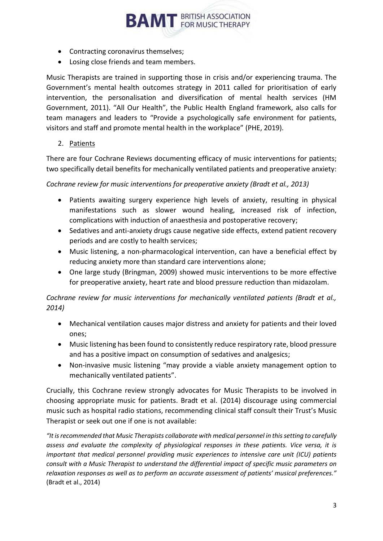- Contracting coronavirus themselves;
- Losing close friends and team members.

Music Therapists are trained in supporting those in crisis and/or experiencing trauma. The Government's mental health outcomes strategy in 2011 called for prioritisation of early intervention, the personalisation and diversification of mental health services (HM Government, 2011). "All Our Health", the Public Health England framework, also calls for team managers and leaders to "Provide a psychologically safe environment for patients, visitors and staff and promote mental health in the workplace" (PHE, 2019).

**BAMT** BRITISH ASSOCIATION

2. Patients

There are four Cochrane Reviews documenting efficacy of music interventions for patients; two specifically detail benefits for mechanically ventilated patients and preoperative anxiety:

*Cochrane review for music interventions for preoperative anxiety (Bradt et al., 2013)*

- Patients awaiting surgery experience high levels of anxiety, resulting in physical manifestations such as slower wound healing, increased risk of infection, complications with induction of anaesthesia and postoperative recovery;
- Sedatives and anti-anxiety drugs cause negative side effects, extend patient recovery periods and are costly to health services;
- Music listening, a non-pharmacological intervention, can have a beneficial effect by reducing anxiety more than standard care interventions alone;
- One large study (Bringman, 2009) showed music interventions to be more effective for preoperative anxiety, heart rate and blood pressure reduction than midazolam.

*Cochrane review for music interventions for mechanically ventilated patients (Bradt et al., 2014)*

- Mechanical ventilation causes major distress and anxiety for patients and their loved ones;
- Music listening has been found to consistently reduce respiratory rate, blood pressure and has a positive impact on consumption of sedatives and analgesics;
- Non-invasive music listening "may provide a viable anxiety management option to mechanically ventilated patients".

Crucially, this Cochrane review strongly advocates for Music Therapists to be involved in choosing appropriate music for patients. Bradt et al. (2014) discourage using commercial music such as hospital radio stations, recommending clinical staff consult their Trust's Music Therapist or seek out one if one is not available:

*"It is recommended that Music Therapists collaborate with medical personnel in this setting to carefully assess and evaluate the complexity of physiological responses in these patients. Vice versa, it is important that medical personnel providing music experiences to intensive care unit (ICU) patients consult with a Music Therapist to understand the differential impact of specific music parameters on relaxation responses as well as to perform an accurate assessment of patients' musical preferences."* (Bradt et al., 2014)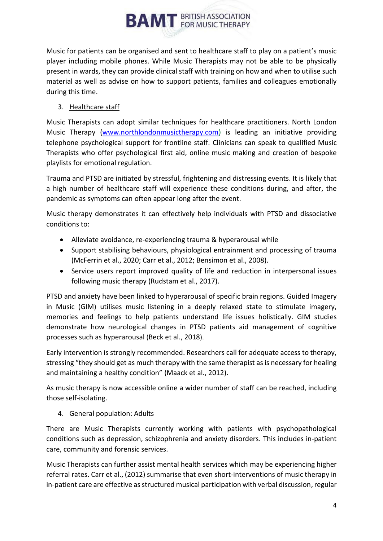Music for patients can be organised and sent to healthcare staff to play on a patient's music player including mobile phones. While Music Therapists may not be able to be physically present in wards, they can provide clinical staff with training on how and when to utilise such material as well as advise on how to support patients, families and colleagues emotionally during this time.

#### 3. Healthcare staff

Music Therapists can adopt similar techniques for healthcare practitioners. North London Music Therapy [\(www.northlondonmusictherapy.com\)](http://www.northlondonmusictherapy.com/) is leading an initiative providing telephone psychological support for frontline staff. Clinicians can speak to qualified Music Therapists who offer psychological first aid, online music making and creation of bespoke playlists for emotional regulation.

Trauma and PTSD are initiated by stressful, frightening and distressing events. It is likely that a high number of healthcare staff will experience these conditions during, and after, the pandemic as symptoms can often appear long after the event.

Music therapy demonstrates it can effectively help individuals with PTSD and dissociative conditions to:

- Alleviate avoidance, re-experiencing trauma & hyperarousal while
- Support stabilising behaviours, physiological entrainment and processing of trauma (McFerrin et al., 2020; Carr et al., 2012; Bensimon et al., 2008).
- Service users report improved quality of life and reduction in interpersonal issues following music therapy (Rudstam et al., 2017).

PTSD and anxiety have been linked to hyperarousal of specific brain regions. Guided Imagery in Music (GIM) utilises music listening in a deeply relaxed state to stimulate imagery, memories and feelings to help patients understand life issues holistically. GIM studies demonstrate how neurological changes in PTSD patients aid management of cognitive processes such as hyperarousal (Beck et al., 2018).

Early intervention is strongly recommended. Researchers call for adequate access to therapy, stressing "they should get as much therapy with the same therapist as is necessary for healing and maintaining a healthy condition" (Maack et al., 2012).

As music therapy is now accessible online a wider number of staff can be reached, including those self-isolating.

#### 4. General population: Adults

There are Music Therapists currently working with patients with psychopathological conditions such as depression, schizophrenia and anxiety disorders. This includes in-patient care, community and forensic services.

Music Therapists can further assist mental health services which may be experiencing higher referral rates. Carr et al., (2012) summarise that even short-interventions of music therapy in in-patient care are effective as structured musical participation with verbal discussion, regular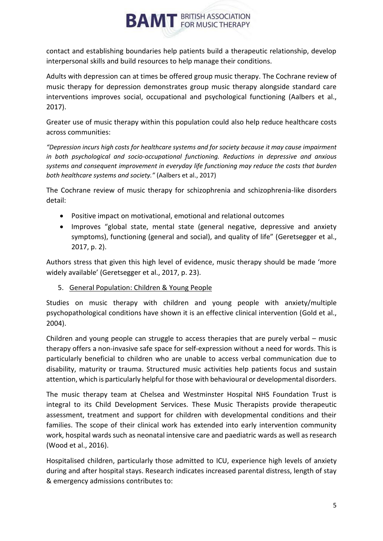

contact and establishing boundaries help patients build a therapeutic relationship, develop interpersonal skills and build resources to help manage their conditions.

Adults with depression can at times be offered group music therapy. The Cochrane review of music therapy for depression demonstrates group music therapy alongside standard care interventions improves social, occupational and psychological functioning (Aalbers et al., 2017).

Greater use of music therapy within this population could also help reduce healthcare costs across communities:

*"Depression incurs high costs for healthcare systems and for society because it may cause impairment in both psychological and socio-occupational functioning. Reductions in depressive and anxious systems and consequent improvement in everyday life functioning may reduce the costs that burden both healthcare systems and society."* (Aalbers et al., 2017)

The Cochrane review of music therapy for schizophrenia and schizophrenia-like disorders detail:

- Positive impact on motivational, emotional and relational outcomes
- Improves "global state, mental state (general negative, depressive and anxiety symptoms), functioning (general and social), and quality of life" (Geretsegger et al., 2017, p. 2).

Authors stress that given this high level of evidence, music therapy should be made 'more widely available' (Geretsegger et al., 2017, p. 23).

5. General Population: Children & Young People

Studies on music therapy with children and young people with anxiety/multiple psychopathological conditions have shown it is an effective clinical intervention (Gold et al., 2004).

Children and young people can struggle to access therapies that are purely verbal – music therapy offers a non-invasive safe space for self-expression without a need for words. This is particularly beneficial to children who are unable to access verbal communication due to disability, maturity or trauma. Structured music activities help patients focus and sustain attention, which is particularly helpful for those with behavioural or developmental disorders.

The music therapy team at Chelsea and Westminster Hospital NHS Foundation Trust is integral to its Child Development Services. These Music Therapists provide therapeutic assessment, treatment and support for children with developmental conditions and their families. The scope of their clinical work has extended into early intervention community work, hospital wards such as neonatal intensive care and paediatric wards as well as research (Wood et al., 2016).

Hospitalised children, particularly those admitted to ICU, experience high levels of anxiety during and after hospital stays. Research indicates increased parental distress, length of stay & emergency admissions contributes to: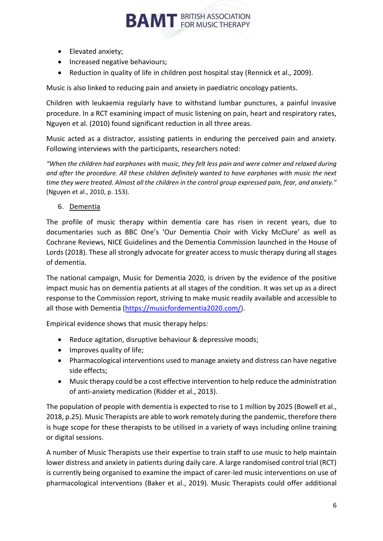- Elevated anxiety;
- Increased negative behaviours;
- Reduction in quality of life in children post hospital stay (Rennick et al., 2009).

Music is also linked to reducing pain and anxiety in paediatric oncology patients.

Children with leukaemia regularly have to withstand lumbar punctures, a painful invasive procedure. In a RCT examining impact of music listening on pain, heart and respiratory rates, Nguyen et al. (2010) found significant reduction in all three areas.

Music acted as a distractor, assisting patients in enduring the perceived pain and anxiety. Following interviews with the participants, researchers noted:

*"When the children had earphones with music, they felt less pain and were calmer and relaxed during and after the procedure. All these children definitely wanted to have earphones with music the next time they were treated. Almost all the children in the control group expressed pain, fear, and anxiety."* (Nguyen et al., 2010, p. 153).

6. Dementia

The profile of music therapy within dementia care has risen in recent years, due to documentaries such as BBC One's 'Our Dementia Choir with Vicky McClure' as well as Cochrane Reviews, NICE Guidelines and the Dementia Commission launched in the House of Lords (2018). These all strongly advocate for greater access to music therapy during all stages of dementia.

The national campaign, Music for Dementia 2020, is driven by the evidence of the positive impact music has on dementia patients at all stages of the condition. It was set up as a direct response to the Commission report, striving to make music readily available and accessible to all those with Dementia [\(https://musicfordementia2020.com/](https://musicfordementia2020.com/)).

Empirical evidence shows that music therapy helps:

- Reduce agitation, disruptive behaviour & depressive moods;
- Improves quality of life;
- Pharmacological interventions used to manage anxiety and distress can have negative side effects;
- Music therapy could be a cost effective intervention to help reduce the administration of anti-anxiety medication (Ridder et al., 2013).

The population of people with dementia is expected to rise to 1 million by 2025 (Bowell et al., 2018, p.25). Music Therapists are able to work remotely during the pandemic, therefore there is huge scope for these therapists to be utilised in a variety of ways including online training or digital sessions.

A number of Music Therapists use their expertise to train staff to use music to help maintain lower distress and anxiety in patients during daily care. A large randomised control trial (RCT) is currently being organised to examine the impact of carer-led music interventions on use of pharmacological interventions (Baker et al., 2019). Music Therapists could offer additional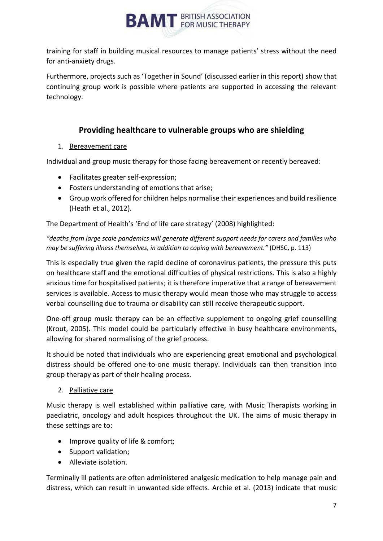

training for staff in building musical resources to manage patients' stress without the need for anti-anxiety drugs.

Furthermore, projects such as 'Together in Sound' (discussed earlier in this report) show that continuing group work is possible where patients are supported in accessing the relevant technology.

## **Providing healthcare to vulnerable groups who are shielding**

#### 1. Bereavement care

Individual and group music therapy for those facing bereavement or recently bereaved:

- Facilitates greater self-expression;
- Fosters understanding of emotions that arise;
- Group work offered for children helps normalise their experiences and build resilience (Heath et al., 2012).

The Department of Health's 'End of life care strategy' (2008) highlighted:

*"deaths from large scale pandemics will generate different support needs for carers and families who may be suffering illness themselves, in addition to coping with bereavement."* (DHSC, p. 113)

This is especially true given the rapid decline of coronavirus patients, the pressure this puts on healthcare staff and the emotional difficulties of physical restrictions. This is also a highly anxious time for hospitalised patients; it is therefore imperative that a range of bereavement services is available. Access to music therapy would mean those who may struggle to access verbal counselling due to trauma or disability can still receive therapeutic support.

One-off group music therapy can be an effective supplement to ongoing grief counselling (Krout, 2005). This model could be particularly effective in busy healthcare environments, allowing for shared normalising of the grief process.

It should be noted that individuals who are experiencing great emotional and psychological distress should be offered one-to-one music therapy. Individuals can then transition into group therapy as part of their healing process.

#### 2. Palliative care

Music therapy is well established within palliative care, with Music Therapists working in paediatric, oncology and adult hospices throughout the UK. The aims of music therapy in these settings are to:

- Improve quality of life & comfort;
- Support validation;
- Alleviate isolation.

Terminally ill patients are often administered analgesic medication to help manage pain and distress, which can result in unwanted side effects. Archie et al. (2013) indicate that music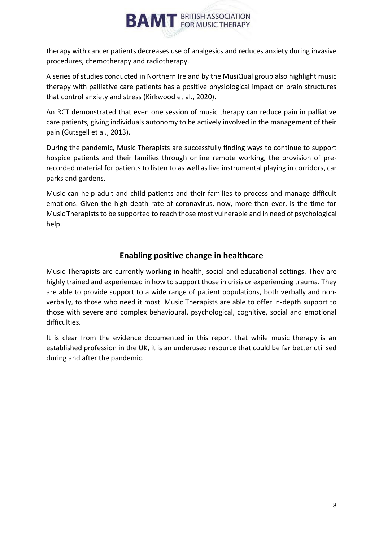therapy with cancer patients decreases use of analgesics and reduces anxiety during invasive procedures, chemotherapy and radiotherapy.

A series of studies conducted in Northern Ireland by the MusiQual group also highlight music therapy with palliative care patients has a positive physiological impact on brain structures that control anxiety and stress (Kirkwood et al., 2020).

An RCT demonstrated that even one session of music therapy can reduce pain in palliative care patients, giving individuals autonomy to be actively involved in the management of their pain (Gutsgell et al., 2013).

During the pandemic, Music Therapists are successfully finding ways to continue to support hospice patients and their families through online remote working, the provision of prerecorded material for patients to listen to as well as live instrumental playing in corridors, car parks and gardens.

Music can help adult and child patients and their families to process and manage difficult emotions. Given the high death rate of coronavirus, now, more than ever, is the time for Music Therapists to be supported to reach those most vulnerable and in need of psychological help.

### **Enabling positive change in healthcare**

Music Therapists are currently working in health, social and educational settings. They are highly trained and experienced in how to support those in crisis or experiencing trauma. They are able to provide support to a wide range of patient populations, both verbally and nonverbally, to those who need it most. Music Therapists are able to offer in-depth support to those with severe and complex behavioural, psychological, cognitive, social and emotional difficulties.

It is clear from the evidence documented in this report that while music therapy is an established profession in the UK, it is an underused resource that could be far better utilised during and after the pandemic.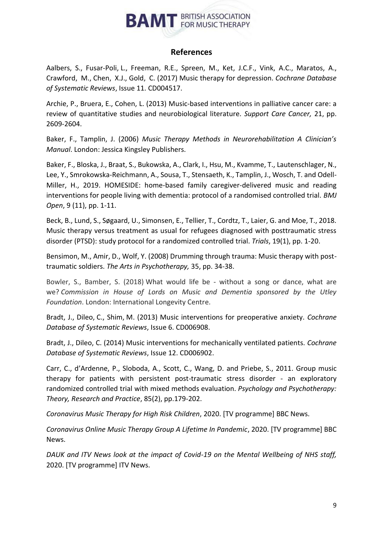#### **References**

Aalbers, S., Fusar-Poli, L., Freeman, R.E., Spreen, M., Ket, J.C.F., Vink, A.C., Maratos, A., Crawford, M., Chen, X.J., Gold, C. (2017) Music therapy for depression. *Cochrane Database of Systematic Reviews*, Issue 11. CD004517.

Archie, P., Bruera, E., Cohen, L. (2013) Music-based interventions in palliative cancer care: a review of quantitative studies and neurobiological literature*. Support Care Cancer,* 21, pp. 2609-2604.

Baker, F., Tamplin, J. (2006) *Music Therapy Methods in Neurorehabilitation A Clinician's Manual*. London: Jessica Kingsley Publishers.

Baker, F., Bloska, J., Braat, S., Bukowska, A., Clark, I., Hsu, M., Kvamme, T., Lautenschlager, N., Lee, Y., Smrokowska-Reichmann, A., Sousa, T., Stensaeth, K., Tamplin, J., Wosch, T. and Odell-Miller, H., 2019. HOMESIDE: home-based family caregiver-delivered music and reading interventions for people living with dementia: protocol of a randomised controlled trial. *BMJ Open*, 9 (11), pp. 1-11.

Beck, B., Lund, S., Søgaard, U., Simonsen, E., Tellier, T., Cordtz, T., Laier, G. and Moe, T., 2018. Music therapy versus treatment as usual for refugees diagnosed with posttraumatic stress disorder (PTSD): study protocol for a randomized controlled trial. *Trials*, 19(1), pp. 1-20.

Bensimon, M., Amir, D., Wolf, Y. (2008) Drumming through trauma: Music therapy with posttraumatic soldiers. *The Arts in Psychotherapy,* 35, pp. 34-38.

Bowler, S., Bamber, S. (2018) What would life be - without a song or dance, what are we? *Commission in House of Lords on Music and Dementia sponsored by the Utley Foundation*. London: International Longevity Centre.

Bradt, J., Dileo, C., Shim, M. (2013) Music interventions for preoperative anxiety. *Cochrane Database of Systematic Reviews*, Issue 6. CD006908.

Bradt, J., Dileo, C. (2014) Music interventions for mechanically ventilated patients. *Cochrane Database of Systematic Reviews*, Issue 12. CD006902.

Carr, C., d'Ardenne, P., Sloboda, A., Scott, C., Wang, D. and Priebe, S., 2011. Group music therapy for patients with persistent post-traumatic stress disorder - an exploratory randomized controlled trial with mixed methods evaluation. *Psychology and Psychotherapy: Theory, Research and Practice*, 85(2), pp.179-202.

*Coronavirus Music Therapy for High Risk Children*, 2020. [TV programme] BBC News.

*Coronavirus Online Music Therapy Group A Lifetime In Pandemic*, 2020. [TV programme] BBC News.

*DAUK and ITV News look at the impact of Covid-19 on the Mental Wellbeing of NHS staff,*  2020. [TV programme] ITV News.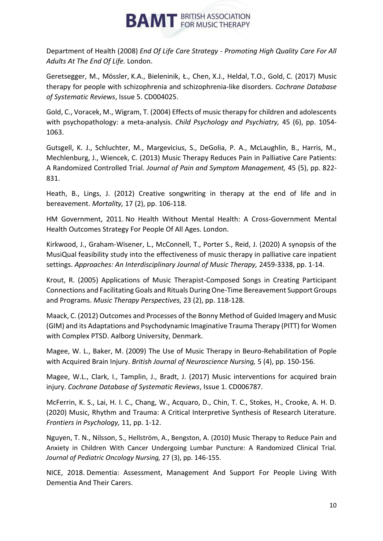

Department of Health (2008) *End Of Life Care Strategy - Promoting High Quality Care For All Adults At The End Of Life.* London.

Geretsegger, M., Mössler, K.A., Bieleninik, Ł., Chen, X.J., Heldal, T.O., Gold, C. (2017) Music therapy for people with schizophrenia and schizophrenia‐like disorders. *Cochrane Database of Systematic Reviews*, Issue 5. CD004025.

Gold, C., Voracek, M., Wigram, T. (2004) Effects of music therapy for children and adolescents with psychopathology: a meta-analysis. *Child Psychology and Psychiatry,* 45 (6), pp. 1054- 1063.

Gutsgell, K. J., Schluchter, M., Margevicius, S., DeGolia, P. A., McLaughlin, B., Harris, M., Mechlenburg, J., Wiencek, C. (2013) Music Therapy Reduces Pain in Palliative Care Patients: A Randomized Controlled Trial. *Journal of Pain and Symptom Management,* 45 (5), pp. 822- 831.

Heath, B., Lings, J. (2012) Creative songwriting in therapy at the end of life and in bereavement. *Mortality,* 17 (2), pp. 106-118.

HM Government, 2011. No Health Without Mental Health: A Cross-Government Mental Health Outcomes Strategy For People Of All Ages. London.

Kirkwood, J., Graham-Wisener, L., McConnell, T., Porter S., Reid, J. (2020) A synopsis of the MusiQual feasibility study into the effectiveness of music therapy in palliative care inpatient settings. *Approaches: An Interdisciplinary Journal of Music Therapy,* 2459-3338, pp. 1-14.

Krout, R. (2005) Applications of Music Therapist-Composed Songs in Creating Participant Connections and Facilitating Goals and Rituals During One-Time Bereavement Support Groups and Programs. *Music Therapy Perspectives,* 23 (2), pp. 118-128.

Maack, C. (2012) Outcomes and Processes of the Bonny Method of Guided Imagery and Music (GIM) and its Adaptations and Psychodynamic Imaginative Trauma Therapy (PITT) for Women with Complex PTSD. Aalborg University, Denmark.

Magee, W. L., Baker, M. (2009) The Use of Music Therapy in Beuro-Rehabilitation of Pople with Acquired Brain Injury. *British Journal of Neuroscience Nursing,* 5 (4), pp. 150-156.

Magee, W.L., Clark, I., Tamplin, J., Bradt, J. (2017) Music interventions for acquired brain injury. *Cochrane Database of Systematic Reviews*, Issue 1. CD006787.

McFerrin, K. S., Lai, H. I. C., Chang, W., Acquaro, D., Chin, T. C., Stokes, H., Crooke, A. H. D. (2020) Music, Rhythm and Trauma: A Critical Interpretive Synthesis of Research Literature. *Frontiers in Psychology,* 11, pp. 1-12.

Nguyen, T. N., Nilsson, S., Hellström, A., Bengston, A. (2010) Music Therapy to Reduce Pain and Anxiety in Children With Cancer Undergoing Lumbar Puncture: A Randomized Clinical Trial. *Journal of Pediatric Oncology Nursing,* 27 (3), pp. 146-155.

NICE, 2018. Dementia: Assessment, Management And Support For People Living With Dementia And Their Carers.